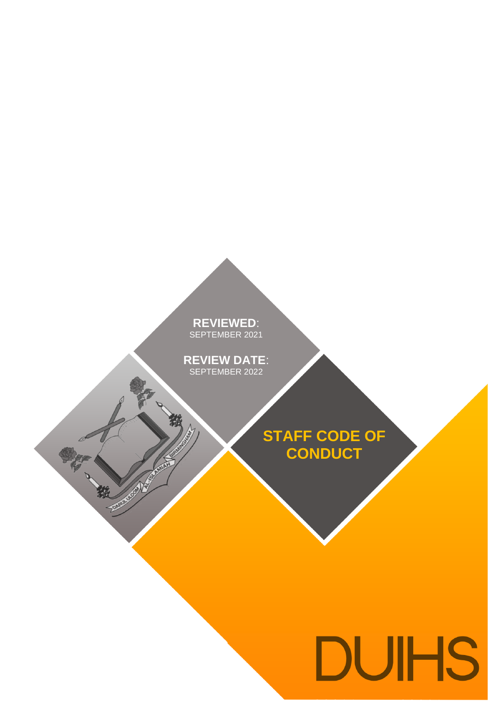# **REVIEWED**: SEPTEMBER 2021

**REVIEW DATE**: SEPTEMBER 2022

小说

RATIONAL PROPERTY

**STAFF CODE OF CONDUCT**

# **DUIHS**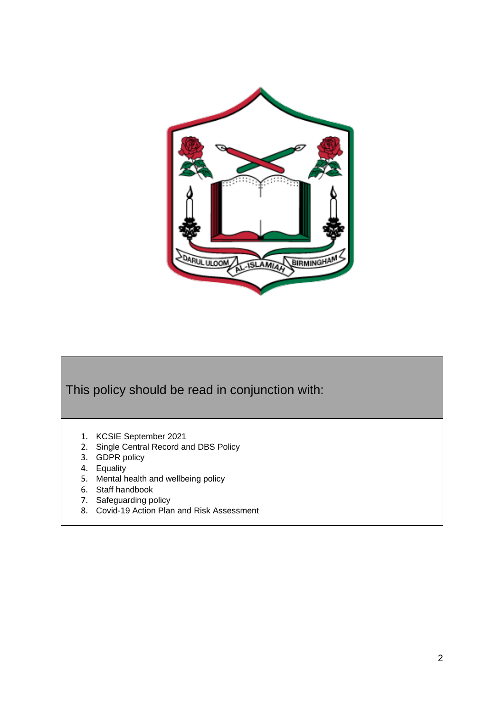

# This policy should be read in conjunction with:

- 1. KCSIE September 2021
- 2. Single Central Record and DBS Policy
- 3. GDPR policy
- 4. Equality
- 5. Mental health and wellbeing policy
- 6. Staff handbook
- 7. Safeguarding policy
- 8. Covid-19 Action Plan and Risk Assessment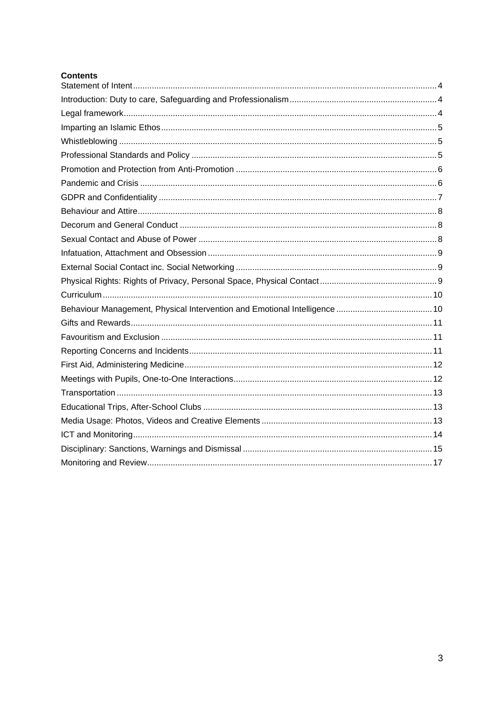| <b>Contents</b> |
|-----------------|
|                 |
|                 |
|                 |
|                 |
|                 |
|                 |
|                 |
|                 |
|                 |
|                 |
|                 |
|                 |
|                 |
|                 |
|                 |
|                 |
|                 |
|                 |
|                 |
|                 |
|                 |
|                 |
|                 |
|                 |
|                 |
|                 |
|                 |
|                 |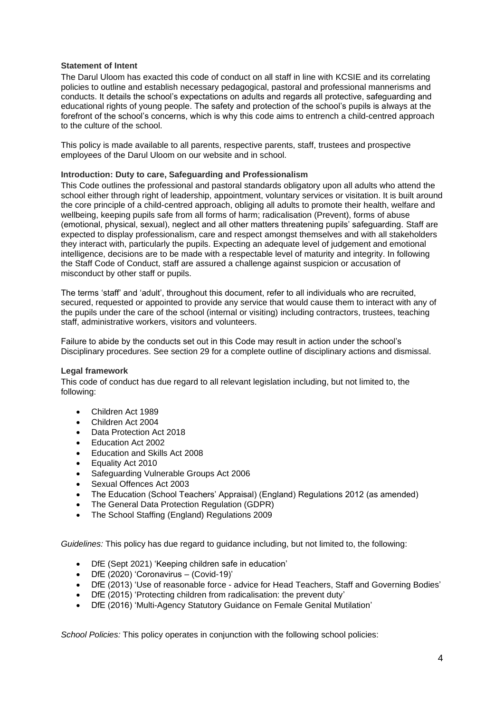#### <span id="page-3-0"></span>**Statement of Intent**

The Darul Uloom has exacted this code of conduct on all staff in line with KCSIE and its correlating policies to outline and establish necessary pedagogical, pastoral and professional mannerisms and conducts. It details the school's expectations on adults and regards all protective, safeguarding and educational rights of young people. The safety and protection of the school's pupils is always at the forefront of the school's concerns, which is why this code aims to entrench a child-centred approach to the culture of the school.

This policy is made available to all parents, respective parents, staff, trustees and prospective employees of the Darul Uloom on our website and in school.

#### <span id="page-3-1"></span>**Introduction: Duty to care, Safeguarding and Professionalism**

This Code outlines the professional and pastoral standards obligatory upon all adults who attend the school either through right of leadership, appointment, voluntary services or visitation. It is built around the core principle of a child-centred approach, obliging all adults to promote their health, welfare and wellbeing, keeping pupils safe from all forms of harm; radicalisation (Prevent), forms of abuse (emotional, physical, sexual), neglect and all other matters threatening pupils' safeguarding. Staff are expected to display professionalism, care and respect amongst themselves and with all stakeholders they interact with, particularly the pupils. Expecting an adequate level of judgement and emotional intelligence, decisions are to be made with a respectable level of maturity and integrity. In following the Staff Code of Conduct, staff are assured a challenge against suspicion or accusation of misconduct by other staff or pupils.

The terms 'staff' and 'adult', throughout this document, refer to all individuals who are recruited, secured, requested or appointed to provide any service that would cause them to interact with any of the pupils under the care of the school (internal or visiting) including contractors, trustees, teaching staff, administrative workers, visitors and volunteers.

Failure to abide by the conducts set out in this Code may result in action under the school's Disciplinary procedures. See section 29 for a complete outline of disciplinary actions and dismissal.

#### <span id="page-3-2"></span>**Legal framework**

This code of conduct has due regard to all relevant legislation including, but not limited to, the following:

- Children Act 1989
- Children Act 2004
- Data Protection Act 2018
- Education Act 2002
- Education and Skills Act 2008
- Equality Act 2010
- Safeguarding Vulnerable Groups Act 2006
- Sexual Offences Act 2003
- The Education (School Teachers' Appraisal) (England) Regulations 2012 (as amended)
- The General Data Protection Regulation (GDPR)
- The School Staffing (England) Regulations 2009

*Guidelines:* This policy has due regard to guidance including, but not limited to, the following:

- DfE (Sept 2021) 'Keeping children safe in education'
- DfE (2020) 'Coronavirus (Covid-19)'
- DfE (2013) 'Use of reasonable force advice for Head Teachers, Staff and Governing Bodies'
- DfE (2015) 'Protecting children from radicalisation: the prevent duty'
- DfE (2016) 'Multi-Agency Statutory Guidance on Female Genital Mutilation'

*School Policies:* This policy operates in conjunction with the following school policies: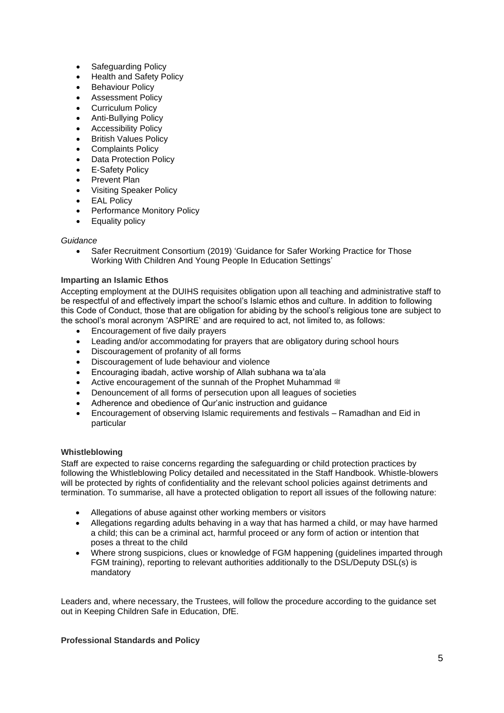- Safeguarding Policy
- Health and Safety Policy
- Behaviour Policy
- Assessment Policy
- **Curriculum Policy**
- Anti-Bullying Policy
- Accessibility Policy
- **British Values Policy**
- Complaints Policy
- Data Protection Policy
- **E-Safety Policy**
- Prevent Plan
- Visiting Speaker Policy
- **EAL Policy**
- Performance Monitory Policy
- Equality policy

# *Guidance*

• Safer Recruitment Consortium (2019) 'Guidance for Safer Working Practice for Those Working With Children And Young People In Education Settings'

# <span id="page-4-0"></span>**Imparting an Islamic Ethos**

Accepting employment at the DUIHS requisites obligation upon all teaching and administrative staff to be respectful of and effectively impart the school's Islamic ethos and culture. In addition to following this Code of Conduct, those that are obligation for abiding by the school's religious tone are subject to the school's moral acronym 'ASPIRE' and are required to act, not limited to, as follows:

- Encouragement of five daily prayers
- Leading and/or accommodating for prayers that are obligatory during school hours
- Discouragement of profanity of all forms
- Discouragement of lude behaviour and violence
- Encouraging ibadah, active worship of Allah subhana wa ta'ala
- Active encouragement of the sunnah of the Prophet Muhammad  $\ddot{\text{m}}$
- Denouncement of all forms of persecution upon all leagues of societies
- Adherence and obedience of Qur'anic instruction and guidance
- Encouragement of observing Islamic requirements and festivals Ramadhan and Eid in particular

# <span id="page-4-1"></span>**Whistleblowing**

Staff are expected to raise concerns regarding the safeguarding or child protection practices by following the Whistleblowing Policy detailed and necessitated in the Staff Handbook. Whistle-blowers will be protected by rights of confidentiality and the relevant school policies against detriments and termination. To summarise, all have a protected obligation to report all issues of the following nature:

- Allegations of abuse against other working members or visitors
- Allegations regarding adults behaving in a way that has harmed a child, or may have harmed a child; this can be a criminal act, harmful proceed or any form of action or intention that poses a threat to the child
- Where strong suspicions, clues or knowledge of FGM happening (guidelines imparted through FGM training), reporting to relevant authorities additionally to the DSL/Deputy DSL(s) is mandatory

Leaders and, where necessary, the Trustees, will follow the procedure according to the guidance set out in Keeping Children Safe in Education, DfE.

# <span id="page-4-2"></span>**Professional Standards and Policy**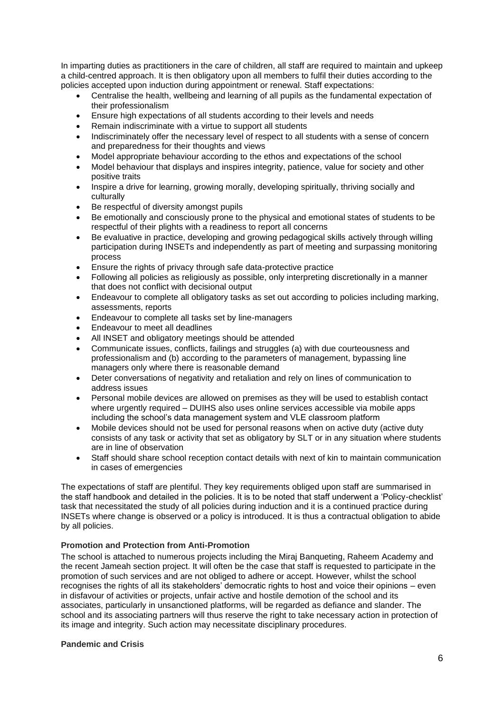In imparting duties as practitioners in the care of children, all staff are required to maintain and upkeep a child-centred approach. It is then obligatory upon all members to fulfil their duties according to the policies accepted upon induction during appointment or renewal. Staff expectations:

- Centralise the health, wellbeing and learning of all pupils as the fundamental expectation of their professionalism
- Ensure high expectations of all students according to their levels and needs
- Remain indiscriminate with a virtue to support all students
- Indiscriminately offer the necessary level of respect to all students with a sense of concern and preparedness for their thoughts and views
- Model appropriate behaviour according to the ethos and expectations of the school
- Model behaviour that displays and inspires integrity, patience, value for society and other positive traits
- Inspire a drive for learning, growing morally, developing spiritually, thriving socially and culturally
- Be respectful of diversity amongst pupils
- Be emotionally and consciously prone to the physical and emotional states of students to be respectful of their plights with a readiness to report all concerns
- Be evaluative in practice, developing and growing pedagogical skills actively through willing participation during INSETs and independently as part of meeting and surpassing monitoring process
- Ensure the rights of privacy through safe data-protective practice
- Following all policies as religiously as possible, only interpreting discretionally in a manner that does not conflict with decisional output
- Endeavour to complete all obligatory tasks as set out according to policies including marking, assessments, reports
- Endeavour to complete all tasks set by line-managers
- Endeavour to meet all deadlines
- All INSET and obligatory meetings should be attended
- Communicate issues, conflicts, failings and struggles (a) with due courteousness and professionalism and (b) according to the parameters of management, bypassing line managers only where there is reasonable demand
- Deter conversations of negativity and retaliation and rely on lines of communication to address issues
- Personal mobile devices are allowed on premises as they will be used to establish contact where urgently required – DUIHS also uses online services accessible via mobile apps including the school's data management system and VLE classroom platform
- Mobile devices should not be used for personal reasons when on active duty (active duty consists of any task or activity that set as obligatory by SLT or in any situation where students are in line of observation
- Staff should share school reception contact details with next of kin to maintain communication in cases of emergencies

The expectations of staff are plentiful. They key requirements obliged upon staff are summarised in the staff handbook and detailed in the policies. It is to be noted that staff underwent a 'Policy-checklist' task that necessitated the study of all policies during induction and it is a continued practice during INSETs where change is observed or a policy is introduced. It is thus a contractual obligation to abide by all policies.

# <span id="page-5-0"></span>**Promotion and Protection from Anti-Promotion**

The school is attached to numerous projects including the Miraj Banqueting, Raheem Academy and the recent Jameah section project. It will often be the case that staff is requested to participate in the promotion of such services and are not obliged to adhere or accept. However, whilst the school recognises the rights of all its stakeholders' democratic rights to host and voice their opinions – even in disfavour of activities or projects, unfair active and hostile demotion of the school and its associates, particularly in unsanctioned platforms, will be regarded as defiance and slander. The school and its associating partners will thus reserve the right to take necessary action in protection of its image and integrity. Such action may necessitate disciplinary procedures.

# <span id="page-5-1"></span>**Pandemic and Crisis**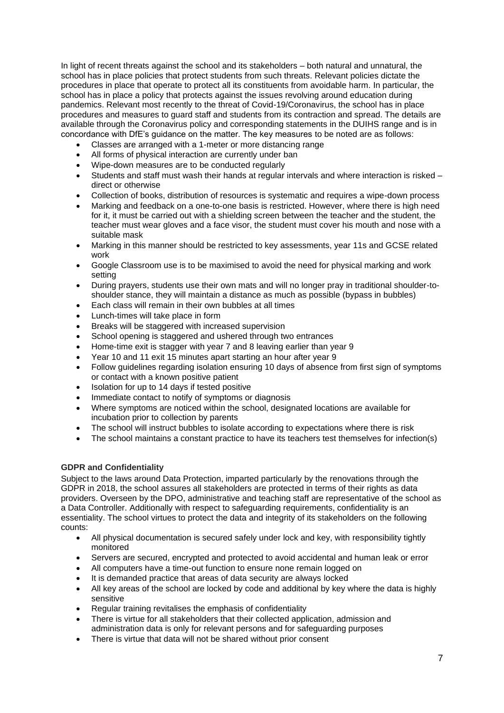In light of recent threats against the school and its stakeholders – both natural and unnatural, the school has in place policies that protect students from such threats. Relevant policies dictate the procedures in place that operate to protect all its constituents from avoidable harm. In particular, the school has in place a policy that protects against the issues revolving around education during pandemics. Relevant most recently to the threat of Covid-19/Coronavirus, the school has in place procedures and measures to guard staff and students from its contraction and spread. The details are available through the Coronavirus policy and corresponding statements in the DUIHS range and is in concordance with DfE's guidance on the matter. The key measures to be noted are as follows:

- Classes are arranged with a 1-meter or more distancing range
- All forms of physical interaction are currently under ban
- Wipe-down measures are to be conducted regularly
- Students and staff must wash their hands at regular intervals and where interaction is risked direct or otherwise
- Collection of books, distribution of resources is systematic and requires a wipe-down process
- Marking and feedback on a one-to-one basis is restricted. However, where there is high need for it, it must be carried out with a shielding screen between the teacher and the student, the teacher must wear gloves and a face visor, the student must cover his mouth and nose with a suitable mask
- Marking in this manner should be restricted to key assessments, year 11s and GCSE related work
- Google Classroom use is to be maximised to avoid the need for physical marking and work setting
- During prayers, students use their own mats and will no longer pray in traditional shoulder-toshoulder stance, they will maintain a distance as much as possible (bypass in bubbles)
- Each class will remain in their own bubbles at all times
- Lunch-times will take place in form
- Breaks will be staggered with increased supervision
- School opening is staggered and ushered through two entrances
- Home-time exit is stagger with year 7 and 8 leaving earlier than year 9
- Year 10 and 11 exit 15 minutes apart starting an hour after year 9
- Follow guidelines regarding isolation ensuring 10 days of absence from first sign of symptoms or contact with a known positive patient
- Isolation for up to 14 days if tested positive
- Immediate contact to notify of symptoms or diagnosis
- Where symptoms are noticed within the school, designated locations are available for incubation prior to collection by parents
- The school will instruct bubbles to isolate according to expectations where there is risk
- The school maintains a constant practice to have its teachers test themselves for infection(s)

#### <span id="page-6-0"></span>**GDPR and Confidentiality**

Subject to the laws around Data Protection, imparted particularly by the renovations through the GDPR in 2018, the school assures all stakeholders are protected in terms of their rights as data providers. Overseen by the DPO, administrative and teaching staff are representative of the school as a Data Controller. Additionally with respect to safeguarding requirements, confidentiality is an essentiality. The school virtues to protect the data and integrity of its stakeholders on the following counts:

- All physical documentation is secured safely under lock and key, with responsibility tightly monitored
- Servers are secured, encrypted and protected to avoid accidental and human leak or error
- All computers have a time-out function to ensure none remain logged on
- It is demanded practice that areas of data security are always locked
- All key areas of the school are locked by code and additional by key where the data is highly sensitive
- Regular training revitalises the emphasis of confidentiality
- There is virtue for all stakeholders that their collected application, admission and administration data is only for relevant persons and for safeguarding purposes
- There is virtue that data will not be shared without prior consent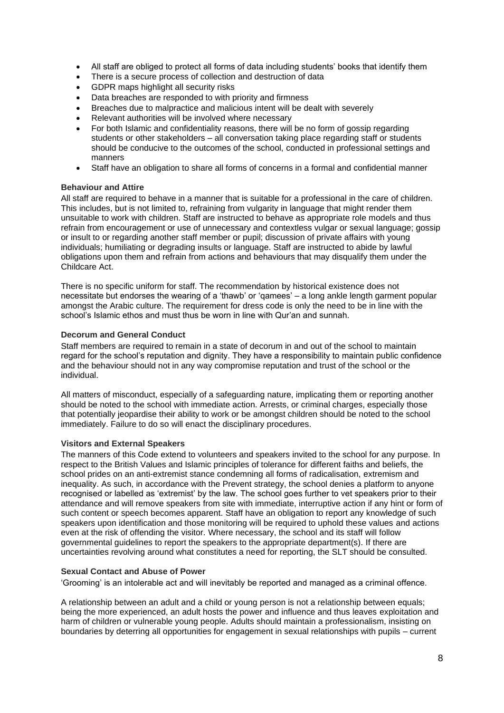- All staff are obliged to protect all forms of data including students' books that identify them
- There is a secure process of collection and destruction of data
- GDPR maps highlight all security risks
- Data breaches are responded to with priority and firmness
- Breaches due to malpractice and malicious intent will be dealt with severely
- Relevant authorities will be involved where necessary
- For both Islamic and confidentiality reasons, there will be no form of gossip regarding students or other stakeholders – all conversation taking place regarding staff or students should be conducive to the outcomes of the school, conducted in professional settings and manners
- Staff have an obligation to share all forms of concerns in a formal and confidential manner

#### <span id="page-7-0"></span>**Behaviour and Attire**

All staff are required to behave in a manner that is suitable for a professional in the care of children. This includes, but is not limited to, refraining from vulgarity in language that might render them unsuitable to work with children. Staff are instructed to behave as appropriate role models and thus refrain from encouragement or use of unnecessary and contextless vulgar or sexual language; gossip or insult to or regarding another staff member or pupil; discussion of private affairs with young individuals; humiliating or degrading insults or language. Staff are instructed to abide by lawful obligations upon them and refrain from actions and behaviours that may disqualify them under the Childcare Act.

There is no specific uniform for staff. The recommendation by historical existence does not necessitate but endorses the wearing of a 'thawb' or 'qamees' – a long ankle length garment popular amongst the Arabic culture. The requirement for dress code is only the need to be in line with the school's Islamic ethos and must thus be worn in line with Qur'an and sunnah.

#### <span id="page-7-1"></span>**Decorum and General Conduct**

Staff members are required to remain in a state of decorum in and out of the school to maintain regard for the school's reputation and dignity. They have a responsibility to maintain public confidence and the behaviour should not in any way compromise reputation and trust of the school or the individual.

All matters of misconduct, especially of a safeguarding nature, implicating them or reporting another should be noted to the school with immediate action. Arrests, or criminal charges, especially those that potentially jeopardise their ability to work or be amongst children should be noted to the school immediately. Failure to do so will enact the disciplinary procedures.

#### **Visitors and External Speakers**

The manners of this Code extend to volunteers and speakers invited to the school for any purpose. In respect to the British Values and Islamic principles of tolerance for different faiths and beliefs, the school prides on an anti-extremist stance condemning all forms of radicalisation, extremism and inequality. As such, in accordance with the Prevent strategy, the school denies a platform to anyone recognised or labelled as 'extremist' by the law. The school goes further to vet speakers prior to their attendance and will remove speakers from site with immediate, interruptive action if any hint or form of such content or speech becomes apparent. Staff have an obligation to report any knowledge of such speakers upon identification and those monitoring will be required to uphold these values and actions even at the risk of offending the visitor. Where necessary, the school and its staff will follow governmental guidelines to report the speakers to the appropriate department(s). If there are uncertainties revolving around what constitutes a need for reporting, the SLT should be consulted.

#### <span id="page-7-2"></span>**Sexual Contact and Abuse of Power**

'Grooming' is an intolerable act and will inevitably be reported and managed as a criminal offence.

A relationship between an adult and a child or young person is not a relationship between equals; being the more experienced, an adult hosts the power and influence and thus leaves exploitation and harm of children or vulnerable young people. Adults should maintain a professionalism, insisting on boundaries by deterring all opportunities for engagement in sexual relationships with pupils – current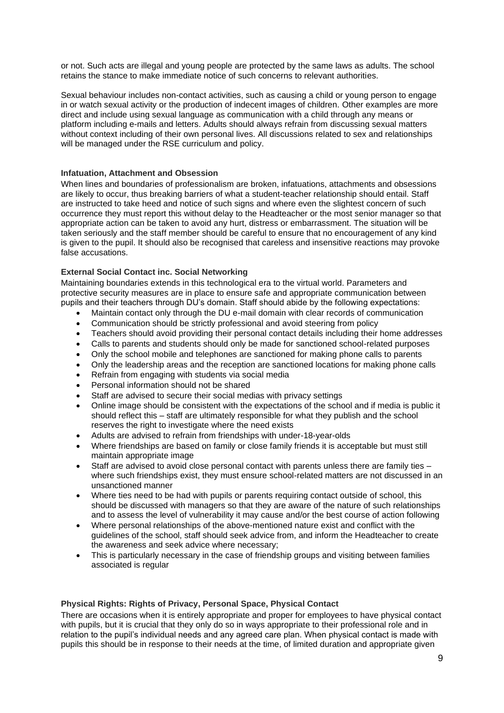or not. Such acts are illegal and young people are protected by the same laws as adults. The school retains the stance to make immediate notice of such concerns to relevant authorities.

Sexual behaviour includes non-contact activities, such as causing a child or young person to engage in or watch sexual activity or the production of indecent images of children. Other examples are more direct and include using sexual language as communication with a child through any means or platform including e-mails and letters. Adults should always refrain from discussing sexual matters without context including of their own personal lives. All discussions related to sex and relationships will be managed under the RSE curriculum and policy.

#### <span id="page-8-0"></span>**Infatuation, Attachment and Obsession**

When lines and boundaries of professionalism are broken, infatuations, attachments and obsessions are likely to occur, thus breaking barriers of what a student-teacher relationship should entail. Staff are instructed to take heed and notice of such signs and where even the slightest concern of such occurrence they must report this without delay to the Headteacher or the most senior manager so that appropriate action can be taken to avoid any hurt, distress or embarrassment. The situation will be taken seriously and the staff member should be careful to ensure that no encouragement of any kind is given to the pupil. It should also be recognised that careless and insensitive reactions may provoke false accusations.

#### <span id="page-8-1"></span>**External Social Contact inc. Social Networking**

Maintaining boundaries extends in this technological era to the virtual world. Parameters and protective security measures are in place to ensure safe and appropriate communication between pupils and their teachers through DU's domain. Staff should abide by the following expectations:

- Maintain contact only through the DU e-mail domain with clear records of communication
- Communication should be strictly professional and avoid steering from policy
- Teachers should avoid providing their personal contact details including their home addresses
- Calls to parents and students should only be made for sanctioned school-related purposes
- Only the school mobile and telephones are sanctioned for making phone calls to parents
- Only the leadership areas and the reception are sanctioned locations for making phone calls
- Refrain from engaging with students via social media
- Personal information should not be shared
- Staff are advised to secure their social medias with privacy settings
- Online image should be consistent with the expectations of the school and if media is public it should reflect this – staff are ultimately responsible for what they publish and the school reserves the right to investigate where the need exists
- Adults are advised to refrain from friendships with under-18-year-olds
- Where friendships are based on family or close family friends it is acceptable but must still maintain appropriate image
- Staff are advised to avoid close personal contact with parents unless there are family ties where such friendships exist, they must ensure school-related matters are not discussed in an unsanctioned manner
- Where ties need to be had with pupils or parents requiring contact outside of school, this should be discussed with managers so that they are aware of the nature of such relationships and to assess the level of vulnerability it may cause and/or the best course of action following
- Where personal relationships of the above-mentioned nature exist and conflict with the guidelines of the school, staff should seek advice from, and inform the Headteacher to create the awareness and seek advice where necessary;
- This is particularly necessary in the case of friendship groups and visiting between families associated is regular

#### <span id="page-8-2"></span>**Physical Rights: Rights of Privacy, Personal Space, Physical Contact**

There are occasions when it is entirely appropriate and proper for employees to have physical contact with pupils, but it is crucial that they only do so in ways appropriate to their professional role and in relation to the pupil's individual needs and any agreed care plan. When physical contact is made with pupils this should be in response to their needs at the time, of limited duration and appropriate given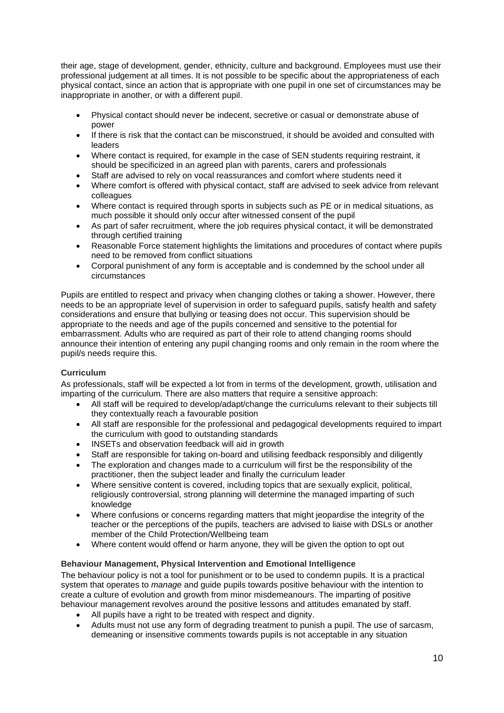their age, stage of development, gender, ethnicity, culture and background. Employees must use their professional judgement at all times. It is not possible to be specific about the appropriateness of each physical contact, since an action that is appropriate with one pupil in one set of circumstances may be inappropriate in another, or with a different pupil.

- Physical contact should never be indecent, secretive or casual or demonstrate abuse of power
- If there is risk that the contact can be misconstrued, it should be avoided and consulted with leaders
- Where contact is required, for example in the case of SEN students requiring restraint, it should be specificized in an agreed plan with parents, carers and professionals
- Staff are advised to rely on vocal reassurances and comfort where students need it
- Where comfort is offered with physical contact, staff are advised to seek advice from relevant colleagues
- Where contact is required through sports in subjects such as PE or in medical situations, as much possible it should only occur after witnessed consent of the pupil
- As part of safer recruitment, where the job requires physical contact, it will be demonstrated through certified training
- Reasonable Force statement highlights the limitations and procedures of contact where pupils need to be removed from conflict situations
- Corporal punishment of any form is acceptable and is condemned by the school under all circumstances

Pupils are entitled to respect and privacy when changing clothes or taking a shower. However, there needs to be an appropriate level of supervision in order to safeguard pupils, satisfy health and safety considerations and ensure that bullying or teasing does not occur. This supervision should be appropriate to the needs and age of the pupils concerned and sensitive to the potential for embarrassment. Adults who are required as part of their role to attend changing rooms should announce their intention of entering any pupil changing rooms and only remain in the room where the pupil/s needs require this.

# <span id="page-9-0"></span>**Curriculum**

As professionals, staff will be expected a lot from in terms of the development, growth, utilisation and imparting of the curriculum. There are also matters that require a sensitive approach:

- All staff will be required to develop/adapt/change the curriculums relevant to their subjects till they contextually reach a favourable position
- All staff are responsible for the professional and pedagogical developments required to impart the curriculum with good to outstanding standards
- INSETs and observation feedback will aid in growth
- Staff are responsible for taking on-board and utilising feedback responsibly and diligently
- The exploration and changes made to a curriculum will first be the responsibility of the practitioner, then the subject leader and finally the curriculum leader
- Where sensitive content is covered, including topics that are sexually explicit, political, religiously controversial, strong planning will determine the managed imparting of such knowledge
- Where confusions or concerns regarding matters that might jeopardise the integrity of the teacher or the perceptions of the pupils, teachers are advised to liaise with DSLs or another member of the Child Protection/Wellbeing team
- Where content would offend or harm anyone, they will be given the option to opt out

# <span id="page-9-1"></span>**Behaviour Management, Physical Intervention and Emotional Intelligence**

The behaviour policy is not a tool for punishment or to be used to condemn pupils. It is a practical system that operates to *manage* and guide pupils towards positive behaviour with the intention to create a culture of evolution and growth from minor misdemeanours. The imparting of positive behaviour management revolves around the positive lessons and attitudes emanated by staff.

- All pupils have a right to be treated with respect and dignity.
- Adults must not use any form of degrading treatment to punish a pupil. The use of sarcasm, demeaning or insensitive comments towards pupils is not acceptable in any situation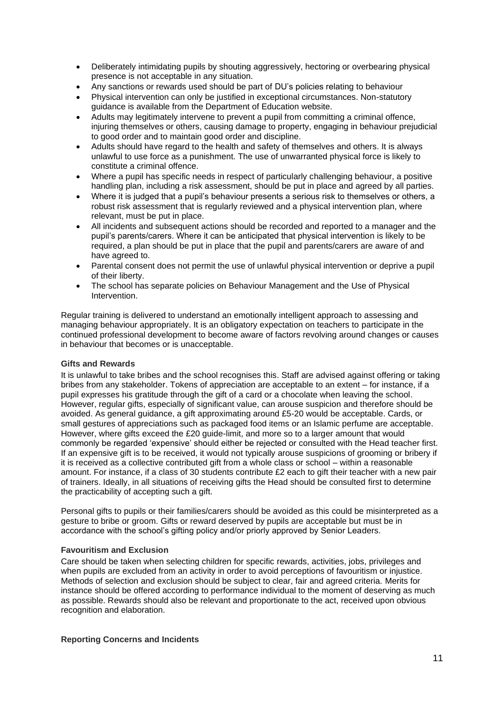- Deliberately intimidating pupils by shouting aggressively, hectoring or overbearing physical presence is not acceptable in any situation.
- Any sanctions or rewards used should be part of DU's policies relating to behaviour
- Physical intervention can only be justified in exceptional circumstances. Non-statutory guidance is available from the Department of Education website.
- Adults may legitimately intervene to prevent a pupil from committing a criminal offence, injuring themselves or others, causing damage to property, engaging in behaviour prejudicial to good order and to maintain good order and discipline.
- Adults should have regard to the health and safety of themselves and others. It is always unlawful to use force as a punishment. The use of unwarranted physical force is likely to constitute a criminal offence.
- Where a pupil has specific needs in respect of particularly challenging behaviour, a positive handling plan, including a risk assessment, should be put in place and agreed by all parties.
- Where it is judged that a pupil's behaviour presents a serious risk to themselves or others, a robust risk assessment that is regularly reviewed and a physical intervention plan, where relevant, must be put in place.
- All incidents and subsequent actions should be recorded and reported to a manager and the pupil's parents/carers. Where it can be anticipated that physical intervention is likely to be required, a plan should be put in place that the pupil and parents/carers are aware of and have agreed to.
- Parental consent does not permit the use of unlawful physical intervention or deprive a pupil of their liberty.
- The school has separate policies on Behaviour Management and the Use of Physical Intervention.

Regular training is delivered to understand an emotionally intelligent approach to assessing and managing behaviour appropriately. It is an obligatory expectation on teachers to participate in the continued professional development to become aware of factors revolving around changes or causes in behaviour that becomes or is unacceptable.

# <span id="page-10-0"></span>**Gifts and Rewards**

It is unlawful to take bribes and the school recognises this. Staff are advised against offering or taking bribes from any stakeholder. Tokens of appreciation are acceptable to an extent – for instance, if a pupil expresses his gratitude through the gift of a card or a chocolate when leaving the school. However, regular gifts, especially of significant value, can arouse suspicion and therefore should be avoided. As general guidance, a gift approximating around £5-20 would be acceptable. Cards, or small gestures of appreciations such as packaged food items or an Islamic perfume are acceptable. However, where gifts exceed the £20 guide-limit, and more so to a larger amount that would commonly be regarded 'expensive' should either be rejected or consulted with the Head teacher first. If an expensive gift is to be received, it would not typically arouse suspicions of grooming or bribery if it is received as a collective contributed gift from a whole class or school – within a reasonable amount. For instance, if a class of 30 students contribute £2 each to gift their teacher with a new pair of trainers. Ideally, in all situations of receiving gifts the Head should be consulted first to determine the practicability of accepting such a gift.

Personal gifts to pupils or their families/carers should be avoided as this could be misinterpreted as a gesture to bribe or groom. Gifts or reward deserved by pupils are acceptable but must be in accordance with the school's gifting policy and/or priorly approved by Senior Leaders.

# <span id="page-10-1"></span>**Favouritism and Exclusion**

Care should be taken when selecting children for specific rewards, activities, jobs, privileges and when pupils are excluded from an activity in order to avoid perceptions of favouritism or injustice. Methods of selection and exclusion should be subject to clear, fair and agreed criteria. Merits for instance should be offered according to performance individual to the moment of deserving as much as possible. Rewards should also be relevant and proportionate to the act, received upon obvious recognition and elaboration.

#### <span id="page-10-2"></span>**Reporting Concerns and Incidents**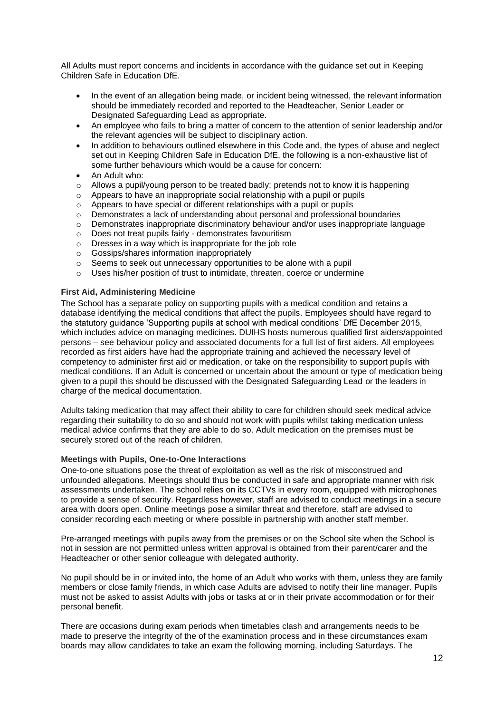All Adults must report concerns and incidents in accordance with the guidance set out in Keeping Children Safe in Education DfE.

- In the event of an allegation being made, or incident being witnessed, the relevant information should be immediately recorded and reported to the Headteacher, Senior Leader or Designated Safeguarding Lead as appropriate.
- An employee who fails to bring a matter of concern to the attention of senior leadership and/or the relevant agencies will be subject to disciplinary action.
- In addition to behaviours outlined elsewhere in this Code and, the types of abuse and neglect set out in Keeping Children Safe in Education DfE, the following is a non-exhaustive list of some further behaviours which would be a cause for concern:
- An Adult who:
- $\circ$  Allows a pupil/young person to be treated badly; pretends not to know it is happening
- o Appears to have an inappropriate social relationship with a pupil or pupils
- $\circ$  Appears to have special or different relationships with a pupil or pupils
- $\circ$  Demonstrates a lack of understanding about personal and professional boundaries
- o Demonstrates inappropriate discriminatory behaviour and/or uses inappropriate language
- o Does not treat pupils fairly demonstrates favouritism
- o Dresses in a way which is inappropriate for the job role
- o Gossips/shares information inappropriately
- o Seems to seek out unnecessary opportunities to be alone with a pupil
- o Uses his/her position of trust to intimidate, threaten, coerce or undermine

#### <span id="page-11-0"></span>**First Aid, Administering Medicine**

The School has a separate policy on supporting pupils with a medical condition and retains a database identifying the medical conditions that affect the pupils. Employees should have regard to the statutory guidance 'Supporting pupils at school with medical conditions' DfE December 2015, which includes advice on managing medicines. DUIHS hosts numerous qualified first aiders/appointed persons – see behaviour policy and associated documents for a full list of first aiders. All employees recorded as first aiders have had the appropriate training and achieved the necessary level of competency to administer first aid or medication, or take on the responsibility to support pupils with medical conditions. If an Adult is concerned or uncertain about the amount or type of medication being given to a pupil this should be discussed with the Designated Safeguarding Lead or the leaders in charge of the medical documentation.

Adults taking medication that may affect their ability to care for children should seek medical advice regarding their suitability to do so and should not work with pupils whilst taking medication unless medical advice confirms that they are able to do so. Adult medication on the premises must be securely stored out of the reach of children.

#### <span id="page-11-1"></span>**Meetings with Pupils, One-to-One Interactions**

One-to-one situations pose the threat of exploitation as well as the risk of misconstrued and unfounded allegations. Meetings should thus be conducted in safe and appropriate manner with risk assessments undertaken. The school relies on its CCTVs in every room, equipped with microphones to provide a sense of security. Regardless however, staff are advised to conduct meetings in a secure area with doors open. Online meetings pose a similar threat and therefore, staff are advised to consider recording each meeting or where possible in partnership with another staff member.

Pre-arranged meetings with pupils away from the premises or on the School site when the School is not in session are not permitted unless written approval is obtained from their parent/carer and the Headteacher or other senior colleague with delegated authority.

No pupil should be in or invited into, the home of an Adult who works with them, unless they are family members or close family friends, in which case Adults are advised to notify their line manager. Pupils must not be asked to assist Adults with jobs or tasks at or in their private accommodation or for their personal benefit.

There are occasions during exam periods when timetables clash and arrangements needs to be made to preserve the integrity of the of the examination process and in these circumstances exam boards may allow candidates to take an exam the following morning, including Saturdays. The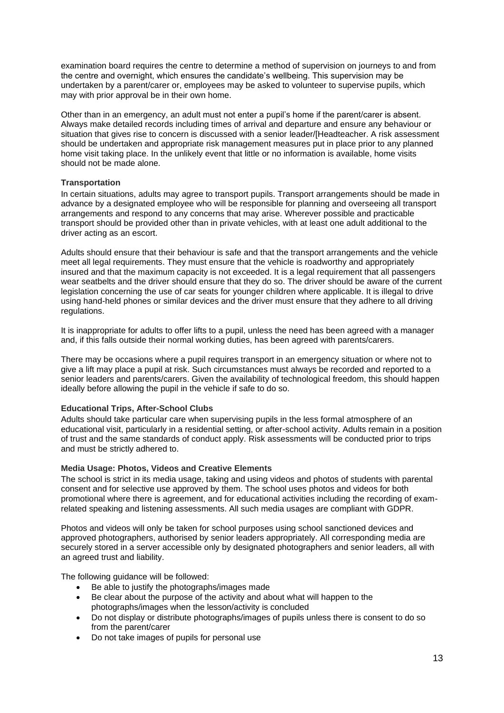examination board requires the centre to determine a method of supervision on journeys to and from the centre and overnight, which ensures the candidate's wellbeing. This supervision may be undertaken by a parent/carer or, employees may be asked to volunteer to supervise pupils, which may with prior approval be in their own home.

Other than in an emergency, an adult must not enter a pupil's home if the parent/carer is absent. Always make detailed records including times of arrival and departure and ensure any behaviour or situation that gives rise to concern is discussed with a senior leader/[Headteacher. A risk assessment should be undertaken and appropriate risk management measures put in place prior to any planned home visit taking place. In the unlikely event that little or no information is available, home visits should not be made alone.

#### <span id="page-12-0"></span>**Transportation**

In certain situations, adults may agree to transport pupils. Transport arrangements should be made in advance by a designated employee who will be responsible for planning and overseeing all transport arrangements and respond to any concerns that may arise. Wherever possible and practicable transport should be provided other than in private vehicles, with at least one adult additional to the driver acting as an escort.

Adults should ensure that their behaviour is safe and that the transport arrangements and the vehicle meet all legal requirements. They must ensure that the vehicle is roadworthy and appropriately insured and that the maximum capacity is not exceeded. It is a legal requirement that all passengers wear seatbelts and the driver should ensure that they do so. The driver should be aware of the current legislation concerning the use of car seats for younger children where applicable. It is illegal to drive using hand-held phones or similar devices and the driver must ensure that they adhere to all driving regulations.

It is inappropriate for adults to offer lifts to a pupil, unless the need has been agreed with a manager and, if this falls outside their normal working duties, has been agreed with parents/carers.

There may be occasions where a pupil requires transport in an emergency situation or where not to give a lift may place a pupil at risk. Such circumstances must always be recorded and reported to a senior leaders and parents/carers. Given the availability of technological freedom, this should happen ideally before allowing the pupil in the vehicle if safe to do so.

# <span id="page-12-1"></span>**Educational Trips, After-School Clubs**

Adults should take particular care when supervising pupils in the less formal atmosphere of an educational visit, particularly in a residential setting, or after-school activity. Adults remain in a position of trust and the same standards of conduct apply. Risk assessments will be conducted prior to trips and must be strictly adhered to.

#### <span id="page-12-2"></span>**Media Usage: Photos, Videos and Creative Elements**

The school is strict in its media usage, taking and using videos and photos of students with parental consent and for selective use approved by them. The school uses photos and videos for both promotional where there is agreement, and for educational activities including the recording of examrelated speaking and listening assessments. All such media usages are compliant with GDPR.

Photos and videos will only be taken for school purposes using school sanctioned devices and approved photographers, authorised by senior leaders appropriately. All corresponding media are securely stored in a server accessible only by designated photographers and senior leaders, all with an agreed trust and liability.

The following guidance will be followed:

- Be able to justify the photographs/images made
- Be clear about the purpose of the activity and about what will happen to the photographs/images when the lesson/activity is concluded
- Do not display or distribute photographs/images of pupils unless there is consent to do so from the parent/carer
- Do not take images of pupils for personal use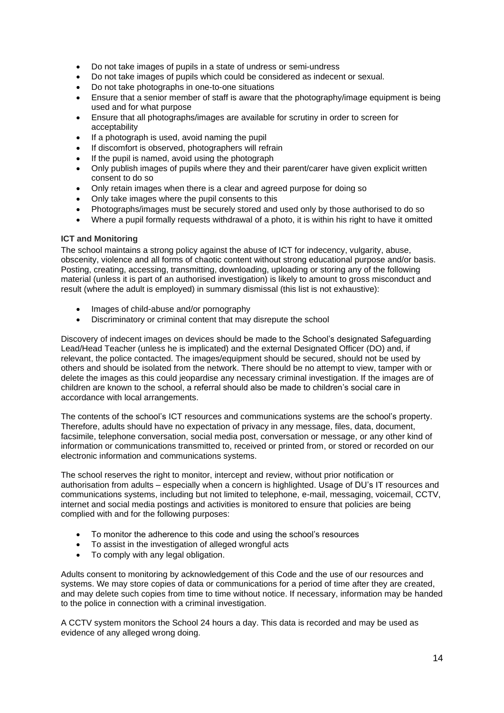- Do not take images of pupils in a state of undress or semi-undress
- Do not take images of pupils which could be considered as indecent or sexual.
- Do not take photographs in one-to-one situations
- Ensure that a senior member of staff is aware that the photography/image equipment is being used and for what purpose
- Ensure that all photographs/images are available for scrutiny in order to screen for acceptability
- If a photograph is used, avoid naming the pupil
- If discomfort is observed, photographers will refrain
- If the pupil is named, avoid using the photograph
- Only publish images of pupils where they and their parent/carer have given explicit written consent to do so
- Only retain images when there is a clear and agreed purpose for doing so
- Only take images where the pupil consents to this
- Photographs/images must be securely stored and used only by those authorised to do so
- Where a pupil formally requests withdrawal of a photo, it is within his right to have it omitted

#### <span id="page-13-0"></span>**ICT and Monitoring**

The school maintains a strong policy against the abuse of ICT for indecency, vulgarity, abuse, obscenity, violence and all forms of chaotic content without strong educational purpose and/or basis. Posting, creating, accessing, transmitting, downloading, uploading or storing any of the following material (unless it is part of an authorised investigation) is likely to amount to gross misconduct and result (where the adult is employed) in summary dismissal (this list is not exhaustive):

- Images of child-abuse and/or pornography
- Discriminatory or criminal content that may disrepute the school

Discovery of indecent images on devices should be made to the School's designated Safeguarding Lead/Head Teacher (unless he is implicated) and the external Designated Officer (DO) and, if relevant, the police contacted. The images/equipment should be secured, should not be used by others and should be isolated from the network. There should be no attempt to view, tamper with or delete the images as this could jeopardise any necessary criminal investigation. If the images are of children are known to the school, a referral should also be made to children's social care in accordance with local arrangements.

The contents of the school's ICT resources and communications systems are the school's property. Therefore, adults should have no expectation of privacy in any message, files, data, document, facsimile, telephone conversation, social media post, conversation or message, or any other kind of information or communications transmitted to, received or printed from, or stored or recorded on our electronic information and communications systems.

The school reserves the right to monitor, intercept and review, without prior notification or authorisation from adults – especially when a concern is highlighted. Usage of DU's IT resources and communications systems, including but not limited to telephone, e-mail, messaging, voicemail, CCTV, internet and social media postings and activities is monitored to ensure that policies are being complied with and for the following purposes:

- To monitor the adherence to this code and using the school's resources
- To assist in the investigation of alleged wrongful acts
- To comply with any legal obligation.

Adults consent to monitoring by acknowledgement of this Code and the use of our resources and systems. We may store copies of data or communications for a period of time after they are created, and may delete such copies from time to time without notice. If necessary, information may be handed to the police in connection with a criminal investigation.

A CCTV system monitors the School 24 hours a day. This data is recorded and may be used as evidence of any alleged wrong doing.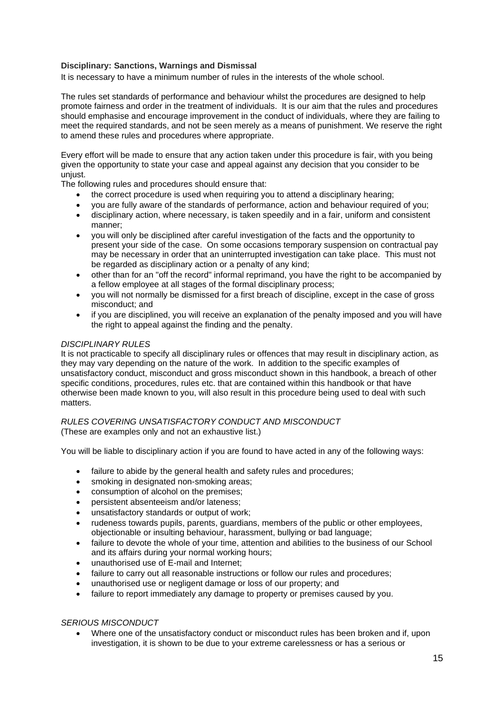# <span id="page-14-0"></span>**Disciplinary: Sanctions, Warnings and Dismissal**

It is necessary to have a minimum number of rules in the interests of the whole school.

The rules set standards of performance and behaviour whilst the procedures are designed to help promote fairness and order in the treatment of individuals. It is our aim that the rules and procedures should emphasise and encourage improvement in the conduct of individuals, where they are failing to meet the required standards, and not be seen merely as a means of punishment. We reserve the right to amend these rules and procedures where appropriate.

Every effort will be made to ensure that any action taken under this procedure is fair, with you being given the opportunity to state your case and appeal against any decision that you consider to be unjust.

The following rules and procedures should ensure that:

- the correct procedure is used when requiring you to attend a disciplinary hearing;
- you are fully aware of the standards of performance, action and behaviour required of you;
- disciplinary action, where necessary, is taken speedily and in a fair, uniform and consistent manner;
- you will only be disciplined after careful investigation of the facts and the opportunity to present your side of the case. On some occasions temporary suspension on contractual pay may be necessary in order that an uninterrupted investigation can take place. This must not be regarded as disciplinary action or a penalty of any kind;
- other than for an "off the record" informal reprimand, you have the right to be accompanied by a fellow employee at all stages of the formal disciplinary process;
- you will not normally be dismissed for a first breach of discipline, except in the case of gross misconduct; and
- if you are disciplined, you will receive an explanation of the penalty imposed and you will have the right to appeal against the finding and the penalty.

#### *DISCIPLINARY RULES*

It is not practicable to specify all disciplinary rules or offences that may result in disciplinary action, as they may vary depending on the nature of the work. In addition to the specific examples of unsatisfactory conduct, misconduct and gross misconduct shown in this handbook, a breach of other specific conditions, procedures, rules etc. that are contained within this handbook or that have otherwise been made known to you, will also result in this procedure being used to deal with such matters.

#### *RULES COVERING UNSATISFACTORY CONDUCT AND MISCONDUCT* (These are examples only and not an exhaustive list.)

You will be liable to disciplinary action if you are found to have acted in any of the following ways:

- failure to abide by the general health and safety rules and procedures;
- smoking in designated non-smoking areas;
- consumption of alcohol on the premises;
- persistent absenteeism and/or lateness;
- unsatisfactory standards or output of work;
- rudeness towards pupils, parents, guardians, members of the public or other employees, objectionable or insulting behaviour, harassment, bullying or bad language;
- failure to devote the whole of your time, attention and abilities to the business of our School and its affairs during your normal working hours;
- unauthorised use of E-mail and Internet;
- failure to carry out all reasonable instructions or follow our rules and procedures;
- unauthorised use or negligent damage or loss of our property; and
- failure to report immediately any damage to property or premises caused by you.

# *SERIOUS MISCONDUCT*

• Where one of the unsatisfactory conduct or misconduct rules has been broken and if, upon investigation, it is shown to be due to your extreme carelessness or has a serious or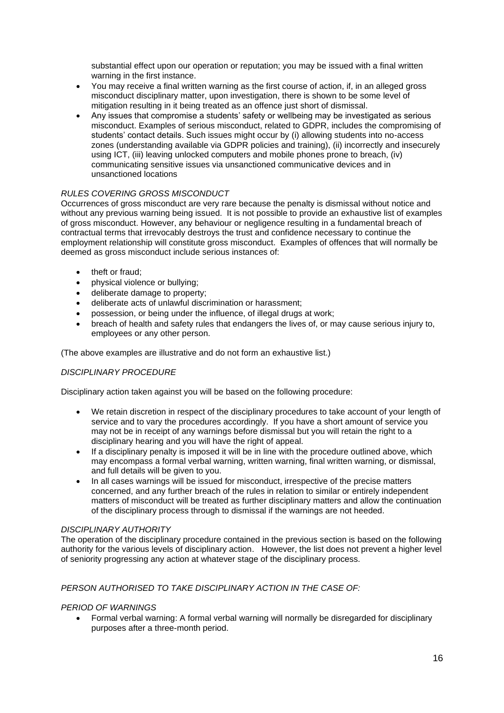substantial effect upon our operation or reputation; you may be issued with a final written warning in the first instance.

- You may receive a final written warning as the first course of action, if, in an alleged gross misconduct disciplinary matter, upon investigation, there is shown to be some level of mitigation resulting in it being treated as an offence just short of dismissal.
- Any issues that compromise a students' safety or wellbeing may be investigated as serious misconduct. Examples of serious misconduct, related to GDPR, includes the compromising of students' contact details. Such issues might occur by (i) allowing students into no-access zones (understanding available via GDPR policies and training), (ii) incorrectly and insecurely using ICT, (iii) leaving unlocked computers and mobile phones prone to breach, (iv) communicating sensitive issues via unsanctioned communicative devices and in unsanctioned locations

# *RULES COVERING GROSS MISCONDUCT*

Occurrences of gross misconduct are very rare because the penalty is dismissal without notice and without any previous warning being issued. It is not possible to provide an exhaustive list of examples of gross misconduct. However, any behaviour or negligence resulting in a fundamental breach of contractual terms that irrevocably destroys the trust and confidence necessary to continue the employment relationship will constitute gross misconduct. Examples of offences that will normally be deemed as gross misconduct include serious instances of:

- theft or fraud;
- physical violence or bullying;
- deliberate damage to property;
- deliberate acts of unlawful discrimination or harassment;
- possession, or being under the influence, of illegal drugs at work;
- breach of health and safety rules that endangers the lives of, or may cause serious injury to, employees or any other person.

(The above examples are illustrative and do not form an exhaustive list.)

# *DISCIPLINARY PROCEDURE*

Disciplinary action taken against you will be based on the following procedure:

- We retain discretion in respect of the disciplinary procedures to take account of your length of service and to vary the procedures accordingly. If you have a short amount of service you may not be in receipt of any warnings before dismissal but you will retain the right to a disciplinary hearing and you will have the right of appeal.
- If a disciplinary penalty is imposed it will be in line with the procedure outlined above, which may encompass a formal verbal warning, written warning, final written warning, or dismissal, and full details will be given to you.
- In all cases warnings will be issued for misconduct, irrespective of the precise matters concerned, and any further breach of the rules in relation to similar or entirely independent matters of misconduct will be treated as further disciplinary matters and allow the continuation of the disciplinary process through to dismissal if the warnings are not heeded.

# *DISCIPLINARY AUTHORITY*

The operation of the disciplinary procedure contained in the previous section is based on the following authority for the various levels of disciplinary action. However, the list does not prevent a higher level of seniority progressing any action at whatever stage of the disciplinary process.

# *PERSON AUTHORISED TO TAKE DISCIPLINARY ACTION IN THE CASE OF:*

# *PERIOD OF WARNINGS*

• Formal verbal warning: A formal verbal warning will normally be disregarded for disciplinary purposes after a three-month period.